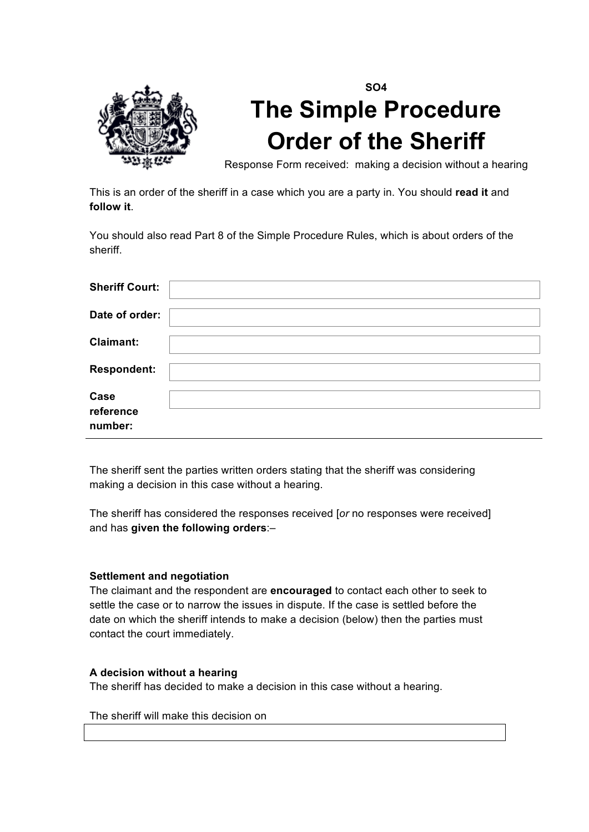

# **SO4 The Simple Procedure Order of the Sheriff**

Response Form received: making a decision without a hearing

This is an order of the sheriff in a case which you are a party in. You should **read it** and **follow it**.

You should also read Part 8 of the Simple Procedure Rules, which is about orders of the sheriff.

| <b>Sheriff Court:</b>        |  |
|------------------------------|--|
| Date of order:               |  |
| <b>Claimant:</b>             |  |
| <b>Respondent:</b>           |  |
| Case<br>reference<br>number: |  |

The sheriff sent the parties written orders stating that the sheriff was considering making a decision in this case without a hearing.

The sheriff has considered the responses received [*or* no responses were received] and has **given the following orders**:–

#### **Settlement and negotiation**

The claimant and the respondent are **encouraged** to contact each other to seek to settle the case or to narrow the issues in dispute. If the case is settled before the date on which the sheriff intends to make a decision (below) then the parties must contact the court immediately.

#### **A decision without a hearing**

The sheriff has decided to make a decision in this case without a hearing.

The sheriff will make this decision on